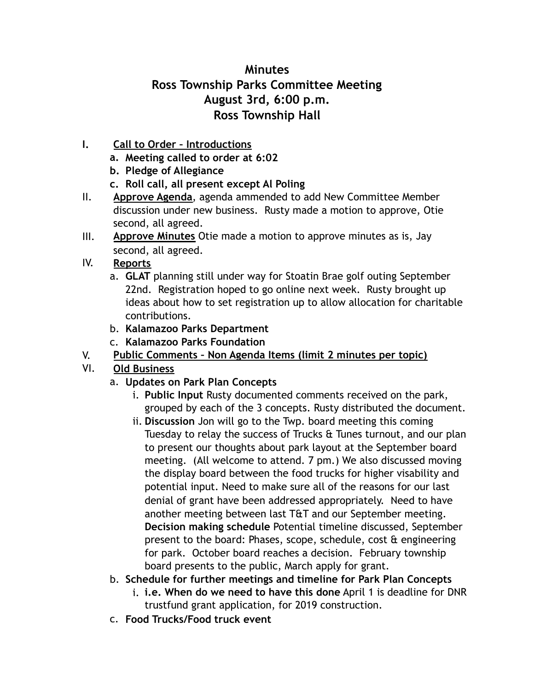## **Minutes Ross Township Parks Committee Meeting August 3rd, 6:00 p.m. Ross Township Hall**

- **I. Call to Order Introductions** 
	- **a. Meeting called to order at 6:02**
	- **b. Pledge of Allegiance**
	- **c. Roll call, all present except Al Poling**
- II. **Approve Agenda**, agenda ammended to add New Committee Member discussion under new business. Rusty made a motion to approve, Otie second, all agreed.
- III. **Approve Minutes** Otie made a motion to approve minutes as is, Jay second, all agreed.
- IV. **Reports**
	- a. **GLAT** planning still under way for Stoatin Brae golf outing September 22nd. Registration hoped to go online next week. Rusty brought up ideas about how to set registration up to allow allocation for charitable contributions.
	- b. **Kalamazoo Parks Department**
	- c. **Kalamazoo Parks Foundation**
- V. **Public Comments Non Agenda Items (limit 2 minutes per topic)**
- VI. **Old Business**
	- a. **Updates on Park Plan Concepts** 
		- i. **Public Input** Rusty documented comments received on the park, grouped by each of the 3 concepts. Rusty distributed the document.
		- ii. **Discussion** Jon will go to the Twp. board meeting this coming Tuesday to relay the success of Trucks & Tunes turnout, and our plan to present our thoughts about park layout at the September board meeting. (All welcome to attend. 7 pm.) We also discussed moving the display board between the food trucks for higher visability and potential input. Need to make sure all of the reasons for our last denial of grant have been addressed appropriately. Need to have another meeting between last T&T and our September meeting. **Decision making schedule** Potential timeline discussed, September present to the board: Phases, scope, schedule, cost & engineering for park. October board reaches a decision. February township board presents to the public, March apply for grant.
	- b. **Schedule for further meetings and timeline for Park Plan Concepts**
		- i. **i.e. When do we need to have this done** April 1 is deadline for DNR trustfund grant application, for 2019 construction.
	- c. **Food Trucks/Food truck event**